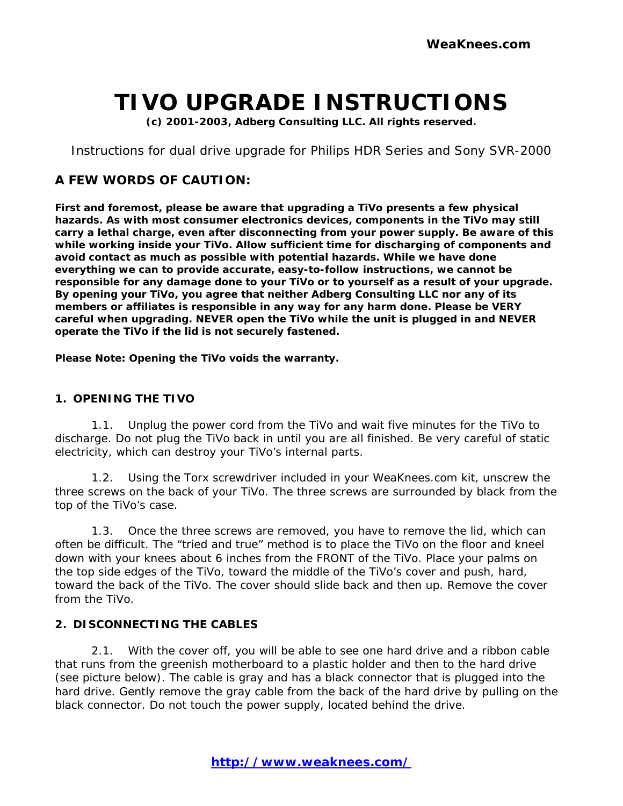# **TIVO UPGRADE INSTRUCTIONS**

**(c) 2001-2003, Adberg Consulting LLC. All rights reserved.**

Instructions for dual drive upgrade for Philips HDR Series and Sony SVR-2000

## **A FEW WORDS OF CAUTION:**

**First and foremost, please be aware that upgrading a TiVo presents a few physical hazards. As with most consumer electronics devices, components in the TiVo may still carry a lethal charge, even after disconnecting from your power supply. Be aware of this while working inside your TiVo. Allow sufficient time for discharging of components and avoid contact as much as possible with potential hazards. While we have done everything we can to provide accurate, easy-to-follow instructions, we cannot be responsible for any damage done to your TiVo or to yourself as a result of your upgrade. By opening your TiVo, you agree that neither Adberg Consulting LLC nor any of its members or affiliates is responsible in any way for any harm done. Please be VERY careful when upgrading. NEVER open the TiVo while the unit is plugged in and NEVER operate the TiVo if the lid is not securely fastened.**

**Please Note: Opening the TiVo** *voids the warranty.*

#### **1. OPENING THE TIVO**

1.1. Unplug the power cord from the TiVo and wait five minutes for the TiVo to discharge. Do not plug the TiVo back in until you are all finished. Be very careful of static electricity, which can destroy your TiVo's internal parts.

1.2. Using the Torx screwdriver included in your WeaKnees.com kit, unscrew the three screws on the back of your TiVo. The three screws are surrounded by black from the top of the TiVo's case.

1.3. Once the three screws are removed, you have to remove the lid, which can often be difficult. The "tried and true" method is to place the TiVo on the floor and kneel down with your knees about 6 inches from the FRONT of the TiVo. Place your palms on the top side edges of the TiVo, toward the middle of the TiVo's cover and push, hard, toward the back of the TiVo. The cover should slide back and then up. Remove the cover from the TiVo.

#### **2. DISCONNECTING THE CABLES**

2.1. With the cover off, you will be able to see one hard drive and a ribbon cable that runs from the greenish motherboard to a plastic holder and then to the hard drive (see picture below). The cable is gray and has a black connector that is plugged into the hard drive. Gently remove the gray cable from the back of the hard drive by pulling on the black connector. Do not touch the power supply, located behind the drive.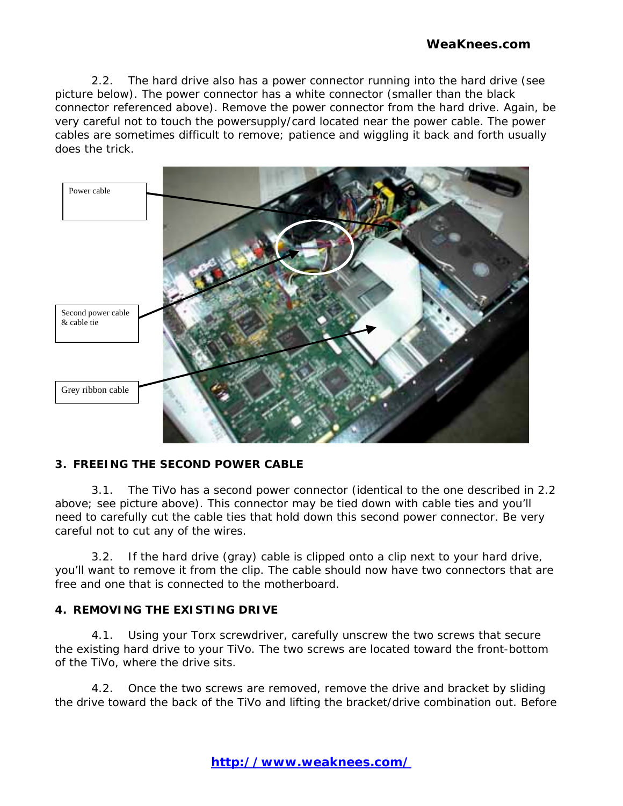2.2. The hard drive also has a power connector running into the hard drive (see picture below). The power connector has a white connector (smaller than the black connector referenced above). Remove the power connector from the hard drive. Again, be very careful not to touch the powersupply/card located near the power cable. The power cables are sometimes difficult to remove; patience and wiggling it back and forth usually does the trick.



## **3. FREEING THE SECOND POWER CABLE**

3.1. The TiVo has a second power connector (identical to the one described in 2.2 above; see picture above). This connector may be tied down with cable ties and you'll need to carefully cut the cable ties that hold down this second power connector. Be very careful not to cut any of the wires.

3.2. If the hard drive (gray) cable is clipped onto a clip next to your hard drive, you'll want to remove it from the clip. The cable should now have two connectors that are free and one that is connected to the motherboard.

## **4. REMOVING THE EXISTING DRIVE**

4.1. Using your Torx screwdriver, carefully unscrew the two screws that secure the existing hard drive to your TiVo. The two screws are located toward the front-bottom of the TiVo, where the drive sits.

4.2. Once the two screws are removed, remove the drive and bracket by sliding the drive toward the back of the TiVo and lifting the bracket/drive combination out. Before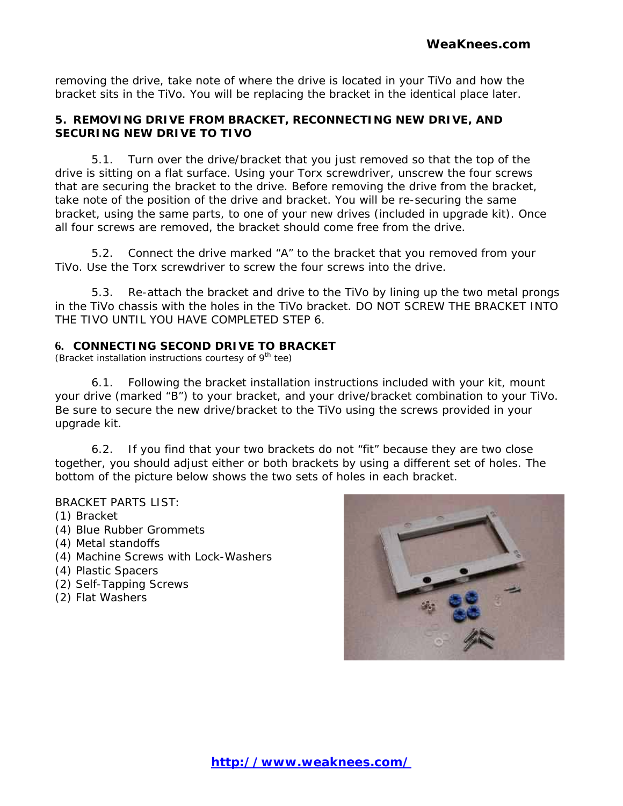removing the drive, take note of where the drive is located in your TiVo and how the bracket sits in the TiVo. You will be replacing the bracket in the identical place later.

### **5. REMOVING DRIVE FROM BRACKET, RECONNECTING NEW DRIVE, AND SECURING NEW DRIVE TO TIVO**

5.1. Turn over the drive/bracket that you just removed so that the top of the drive is sitting on a flat surface. Using your Torx screwdriver, unscrew the four screws that are securing the bracket to the drive. Before removing the drive from the bracket, take note of the position of the drive and bracket. You will be re-securing the same bracket, using the same parts, to one of your new drives (included in upgrade kit). Once all four screws are removed, the bracket should come free from the drive.

5.2. Connect the drive marked "A" to the bracket that you removed from your TiVo. Use the Torx screwdriver to screw the four screws into the drive.

5.3. Re-attach the bracket and drive to the TiVo by lining up the two metal prongs in the TiVo chassis with the holes in the TiVo bracket. DO NOT SCREW THE BRACKET INTO THE TIVO UNTIL YOU HAVE COMPLETED STEP 6.

#### **6. CONNECTING SECOND DRIVE TO BRACKET**

(Bracket installation instructions courtesy of  $9<sup>th</sup>$  tee)

6.1. Following the bracket installation instructions included with your kit, mount your drive (marked "B") to your bracket, and your drive/bracket combination to your TiVo. Be sure to secure the new drive/bracket to the TiVo using the screws provided in your upgrade kit.

6.2. If you find that your two brackets do not "fit" because they are two close together, you should adjust either or both brackets by using a different set of holes. The bottom of the picture below shows the two sets of holes in each bracket.

#### BRACKET PARTS LIST:

- (1) Bracket
- (4) Blue Rubber Grommets
- (4) Metal standoffs
- (4) Machine Screws with Lock-Washers
- (4) Plastic Spacers
- (2) Self-Tapping Screws
- (2) Flat Washers

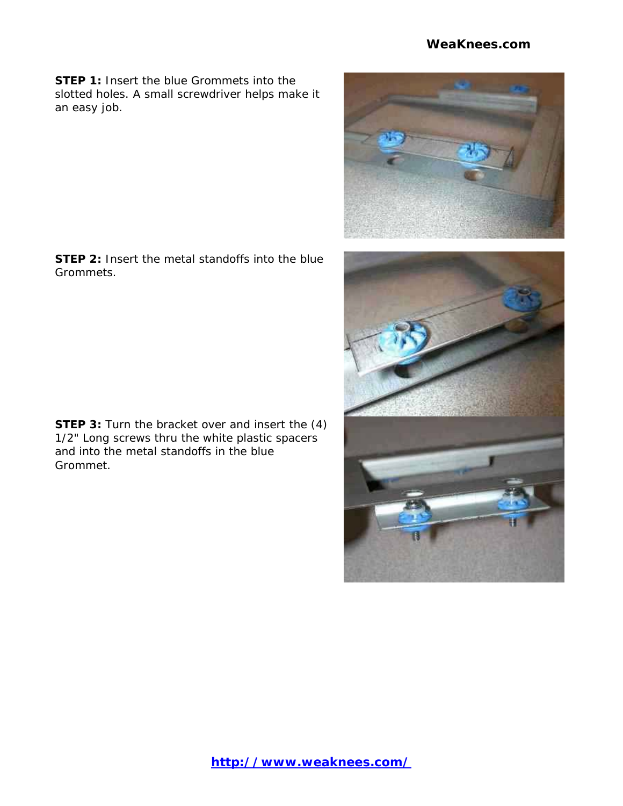### **[WeaKnees.com](http://www.weaknees.com)**

**STEP 1:** Insert the blue Grommets into the slotted holes. A small screwdriver helps make it an easy job.

**STEP 2:** Insert the metal standoffs into the blue Grommets.

**STEP 3:** Turn the bracket over and insert the (4) 1/2" Long screws thru the white plastic spacers and into the metal standoffs in the blue Grommet.

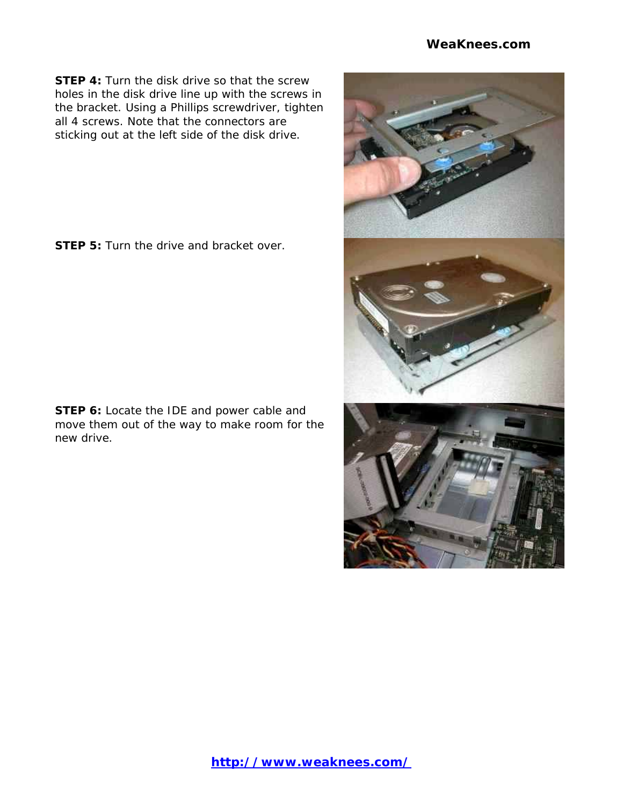#### **[WeaKnees.com](http://www.weaknees.com)**

**STEP 4:** Turn the disk drive so that the screw holes in the disk drive line up with the screws in the bracket. Using a Phillips screwdriver, tighten all 4 screws. Note that the connectors are sticking out at the left side of the disk drive.

**STEP 5:** Turn the drive and bracket over.

**STEP 6:** Locate the IDE and power cable and move them out of the way to make room for the new drive.